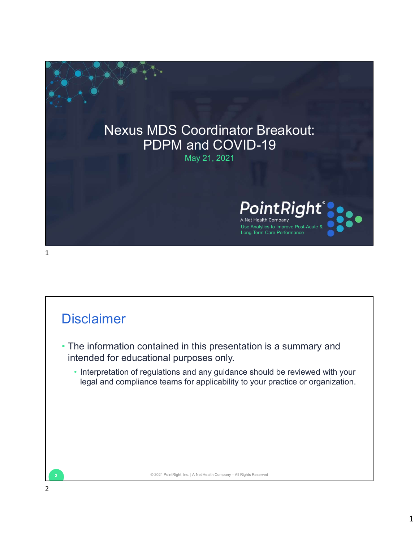

## **Disclaimer**

- The information contained in this presentation is a summary and intended for educational purposes only. • Interpretation of regulations and any guidance should be reviewed with your Disclaimer<br>
2 The information contained in this presentation is a summary and<br>
internetation of regulations and any guidance should be reviewed with your<br>
legal and compliance teams for applicability to your practice or or
	- legal and compliance teams for applicability to your practice or organization.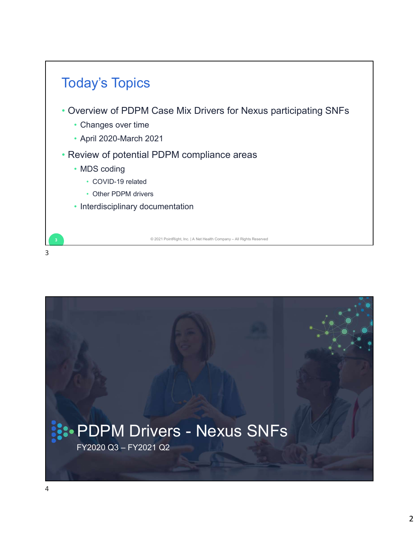

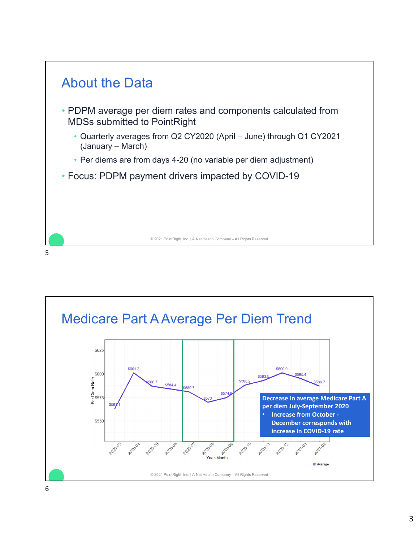

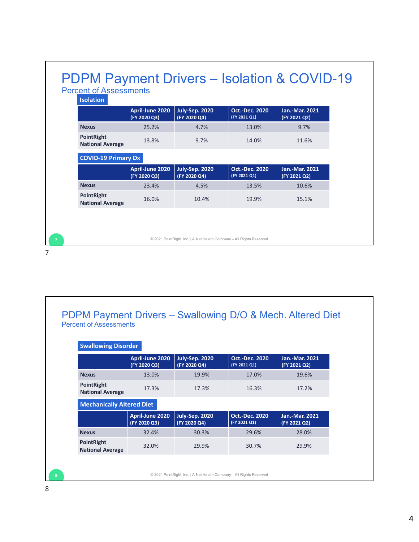| April-June 2020<br>July-Sep. 2020<br><b>Oct.-Dec. 2020</b><br>Jan.-Mar. 2021<br>(FY 2021 Q1)<br>(FY 2020 Q3)<br>(FY 2020 Q4)<br>(FY 2021 Q2)<br>25.2%<br>4.7%<br>13.0%<br>9.7%<br>9.7%<br>13.8%<br>14.0%<br>11.6%<br>April-June 2020<br>July-Sep. 2020<br><b>Oct.-Dec. 2020</b><br>Jan.-Mar. 2021<br>(FY 2020 Q3)<br>(FY 2020 Q4)<br>(FY 2021 Q1)<br>(FY 2021 Q2)<br>23.4%<br>4.5%<br>13.5%<br>10.6%<br>16.0%<br>10.4%<br>19.9%<br>15.1% |                                                                                                                 | © 2021 PointRight, Inc.   A Net Health Company - All Rights Reserved |  |  |  |  |  |  |  |  |  |  |  |  |  |
|------------------------------------------------------------------------------------------------------------------------------------------------------------------------------------------------------------------------------------------------------------------------------------------------------------------------------------------------------------------------------------------------------------------------------------------|-----------------------------------------------------------------------------------------------------------------|----------------------------------------------------------------------|--|--|--|--|--|--|--|--|--|--|--|--|--|
|                                                                                                                                                                                                                                                                                                                                                                                                                                          |                                                                                                                 |                                                                      |  |  |  |  |  |  |  |  |  |  |  |  |  |
|                                                                                                                                                                                                                                                                                                                                                                                                                                          |                                                                                                                 | <b>PDPM Payment Drivers - Isolation &amp; COVID-19</b>               |  |  |  |  |  |  |  |  |  |  |  |  |  |
|                                                                                                                                                                                                                                                                                                                                                                                                                                          |                                                                                                                 |                                                                      |  |  |  |  |  |  |  |  |  |  |  |  |  |
|                                                                                                                                                                                                                                                                                                                                                                                                                                          |                                                                                                                 |                                                                      |  |  |  |  |  |  |  |  |  |  |  |  |  |
|                                                                                                                                                                                                                                                                                                                                                                                                                                          | <b>Percent of Assessments</b><br><b>Isolation</b><br><b>Nexus</b><br><b>COVID-19 Primary Dx</b><br><b>Nexus</b> |                                                                      |  |  |  |  |  |  |  |  |  |  |  |  |  |
|                                                                                                                                                                                                                                                                                                                                                                                                                                          | PointRight<br><b>National Average</b><br>PointRight<br><b>National Average</b>                                  |                                                                      |  |  |  |  |  |  |  |  |  |  |  |  |  |
|                                                                                                                                                                                                                                                                                                                                                                                                                                          |                                                                                                                 |                                                                      |  |  |  |  |  |  |  |  |  |  |  |  |  |
|                                                                                                                                                                                                                                                                                                                                                                                                                                          |                                                                                                                 |                                                                      |  |  |  |  |  |  |  |  |  |  |  |  |  |
|                                                                                                                                                                                                                                                                                                                                                                                                                                          |                                                                                                                 |                                                                      |  |  |  |  |  |  |  |  |  |  |  |  |  |
|                                                                                                                                                                                                                                                                                                                                                                                                                                          |                                                                                                                 |                                                                      |  |  |  |  |  |  |  |  |  |  |  |  |  |
|                                                                                                                                                                                                                                                                                                                                                                                                                                          |                                                                                                                 |                                                                      |  |  |  |  |  |  |  |  |  |  |  |  |  |
|                                                                                                                                                                                                                                                                                                                                                                                                                                          |                                                                                                                 |                                                                      |  |  |  |  |  |  |  |  |  |  |  |  |  |
|                                                                                                                                                                                                                                                                                                                                                                                                                                          |                                                                                                                 |                                                                      |  |  |  |  |  |  |  |  |  |  |  |  |  |
|                                                                                                                                                                                                                                                                                                                                                                                                                                          |                                                                                                                 |                                                                      |  |  |  |  |  |  |  |  |  |  |  |  |  |
|                                                                                                                                                                                                                                                                                                                                                                                                                                          |                                                                                                                 |                                                                      |  |  |  |  |  |  |  |  |  |  |  |  |  |
|                                                                                                                                                                                                                                                                                                                                                                                                                                          |                                                                                                                 |                                                                      |  |  |  |  |  |  |  |  |  |  |  |  |  |
|                                                                                                                                                                                                                                                                                                                                                                                                                                          |                                                                                                                 |                                                                      |  |  |  |  |  |  |  |  |  |  |  |  |  |
|                                                                                                                                                                                                                                                                                                                                                                                                                                          |                                                                                                                 |                                                                      |  |  |  |  |  |  |  |  |  |  |  |  |  |
|                                                                                                                                                                                                                                                                                                                                                                                                                                          |                                                                                                                 |                                                                      |  |  |  |  |  |  |  |  |  |  |  |  |  |
|                                                                                                                                                                                                                                                                                                                                                                                                                                          |                                                                                                                 |                                                                      |  |  |  |  |  |  |  |  |  |  |  |  |  |
|                                                                                                                                                                                                                                                                                                                                                                                                                                          |                                                                                                                 |                                                                      |  |  |  |  |  |  |  |  |  |  |  |  |  |
|                                                                                                                                                                                                                                                                                                                                                                                                                                          |                                                                                                                 |                                                                      |  |  |  |  |  |  |  |  |  |  |  |  |  |
|                                                                                                                                                                                                                                                                                                                                                                                                                                          |                                                                                                                 |                                                                      |  |  |  |  |  |  |  |  |  |  |  |  |  |
|                                                                                                                                                                                                                                                                                                                                                                                                                                          |                                                                                                                 |                                                                      |  |  |  |  |  |  |  |  |  |  |  |  |  |
|                                                                                                                                                                                                                                                                                                                                                                                                                                          |                                                                                                                 |                                                                      |  |  |  |  |  |  |  |  |  |  |  |  |  |
|                                                                                                                                                                                                                                                                                                                                                                                                                                          |                                                                                                                 |                                                                      |  |  |  |  |  |  |  |  |  |  |  |  |  |

## PDPM Payment Drivers - Swallowing D/O & Mech. Altered Diet<br>Percent of Assessments

| <b>National Average</b>               |                                 |                                                                      |                                                            |                                       |
|---------------------------------------|---------------------------------|----------------------------------------------------------------------|------------------------------------------------------------|---------------------------------------|
|                                       |                                 | © 2021 PointRight, Inc.   A Net Health Company - All Rights Reserved |                                                            |                                       |
|                                       |                                 |                                                                      |                                                            |                                       |
|                                       |                                 |                                                                      |                                                            |                                       |
|                                       |                                 |                                                                      |                                                            |                                       |
|                                       |                                 |                                                                      |                                                            |                                       |
|                                       |                                 |                                                                      |                                                            |                                       |
|                                       |                                 |                                                                      |                                                            |                                       |
|                                       |                                 |                                                                      | PDPM Payment Drivers - Swallowing D/O & Mech. Altered Diet |                                       |
| <b>Percent of Assessments</b>         |                                 |                                                                      |                                                            |                                       |
|                                       |                                 |                                                                      |                                                            |                                       |
| <b>Swallowing Disorder</b>            |                                 |                                                                      |                                                            |                                       |
|                                       | April-June 2020<br>(FY 2020 Q3) | <b>July-Sep. 2020</b><br>(FY 2020 Q4)                                | <b>Oct.-Dec. 2020</b><br>(FY 2021 Q1)                      | Jan.-Mar. 2021<br>(FY 2021 Q2)        |
| <b>Nexus</b>                          | 13.0%                           | 19.9%                                                                | 17.0%                                                      | 19.6%                                 |
| PointRight<br><b>National Average</b> | 17.3%                           | 17.3%                                                                | 16.3%                                                      | 17.2%                                 |
| <b>Mechanically Altered Diet</b>      |                                 |                                                                      |                                                            |                                       |
|                                       |                                 |                                                                      |                                                            |                                       |
|                                       | April-June 2020<br>(FY 2020 Q3) | July-Sep. 2020<br>(FY 2020 Q4)                                       | <b>Oct.-Dec. 2020</b><br>(FY 2021 Q1)                      | <b>Jan.-Mar. 2021</b><br>(FY 2021 Q2) |
| <b>Nexus</b>                          | 32.4%                           | 30.3%                                                                | 29.6%                                                      | 28.0%                                 |
| PointRight<br><b>National Average</b> | 32.0%                           | 29.9%                                                                | 30.7%                                                      | 29.9%                                 |
|                                       |                                 |                                                                      |                                                            |                                       |
|                                       |                                 | © 2021 PointRight, Inc.   A Net Health Company - All Rights Reserved |                                                            |                                       |

 $\overline{\Gamma}$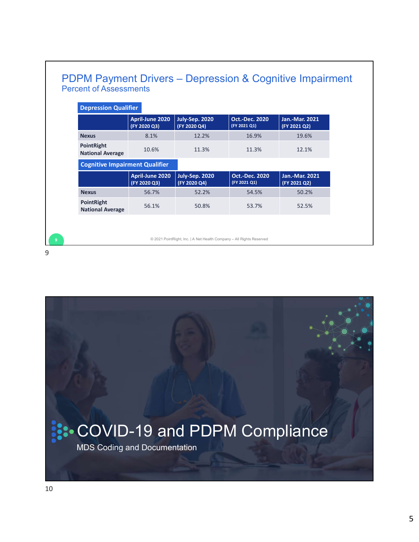| <b>Depression Qualifier</b>           |                                 |                                       |                                       |                                       |  |
|---------------------------------------|---------------------------------|---------------------------------------|---------------------------------------|---------------------------------------|--|
|                                       |                                 |                                       | <b>Oct.-Dec. 2020</b>                 | <b>Jan.-Mar. 2021</b>                 |  |
|                                       | April-June 2020<br>(FY 2020 Q3) | <b>July-Sep. 2020</b><br>(FY 2020 Q4) | (FY 2021 Q1)                          | (FY 2021 Q2)                          |  |
| <b>Nexus</b>                          | 8.1%                            | 12.2%                                 | 16.9%                                 | 19.6%                                 |  |
| PointRight<br><b>National Average</b> | 10.6%                           | 11.3%                                 | 11.3%                                 | 12.1%                                 |  |
| <b>Cognitive Impairment Qualifier</b> |                                 |                                       |                                       |                                       |  |
|                                       | April-June 2020<br>(FY 2020 Q3) | July-Sep. 2020<br>(FY 2020 Q4)        | <b>Oct.-Dec. 2020</b><br>(FY 2021 Q1) | <b>Jan.-Mar. 2021</b><br>(FY 2021 Q2) |  |
| <b>Nexus</b>                          | 56.7%                           | 52.2%                                 | 54.5%                                 | 50.2%                                 |  |
|                                       | 56.1%                           | 50.8%                                 | 53.7%                                 | 52.5%                                 |  |
| PointRight<br><b>National Average</b> |                                 |                                       |                                       |                                       |  |
|                                       |                                 |                                       |                                       |                                       |  |



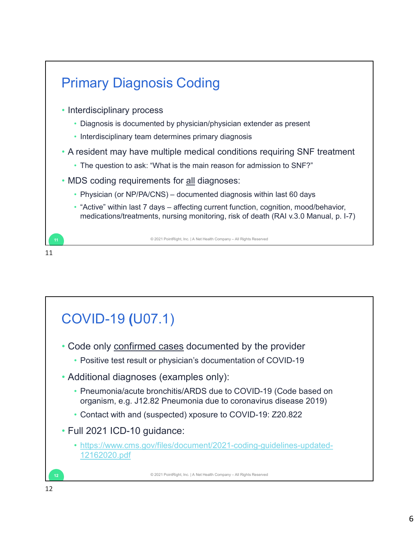

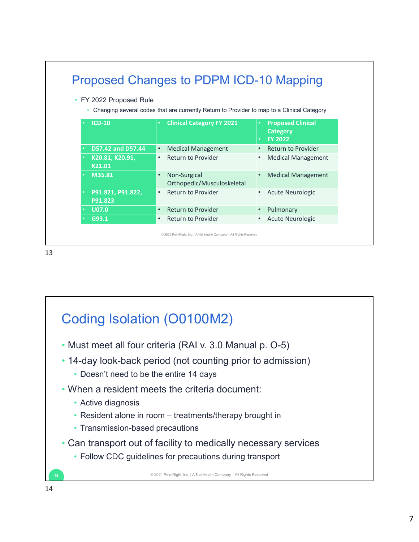| ٠ | • FY 2022 Proposed Rule      | Changing several codes that are currently Return to Provider to map to a Clinical Category |                                                               |  |
|---|------------------------------|--------------------------------------------------------------------------------------------|---------------------------------------------------------------|--|
|   | <b>ICD-10</b>                | <b>Clinical Category FY 2021</b>                                                           | <b>Proposed Clinical</b><br><b>Category</b><br><b>FY 2022</b> |  |
|   | D57.42 and D57.44            | <b>Medical Management</b><br>$\bullet$                                                     | <b>Return to Provider</b>                                     |  |
|   | K20.81, K20.91,<br>K21.01    | Return to Provider<br>$\bullet$                                                            | <b>Medical Management</b><br>$\bullet$                        |  |
|   | M35.81                       | Non-Surgical<br>$\bullet$<br>Orthopedic/Musculoskeletal                                    | <b>Medical Management</b>                                     |  |
|   | P91.821, P91.822,<br>P91.823 | Return to Provider<br>$\bullet$                                                            | <b>Acute Neurologic</b><br>$\bullet$                          |  |
|   | <b>U07.0</b>                 | Return to Provider<br>$\bullet$                                                            | Pulmonary<br>$\bullet$                                        |  |
|   | G93.1                        | <b>Return to Provider</b><br>$\bullet$                                                     | <b>Acute Neurologic</b><br>$\bullet$                          |  |
|   |                              | © 2021 PointRight, Inc.   A Net Health Company - All Rights Reserved                       |                                                               |  |

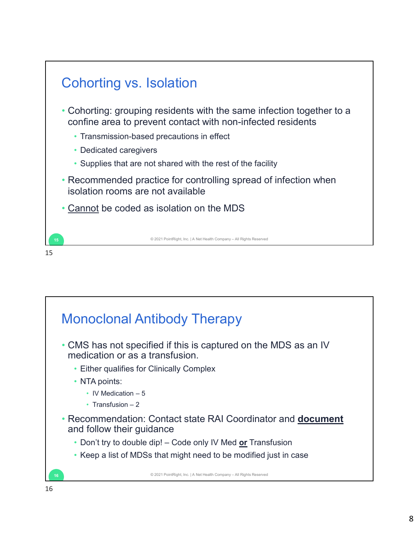

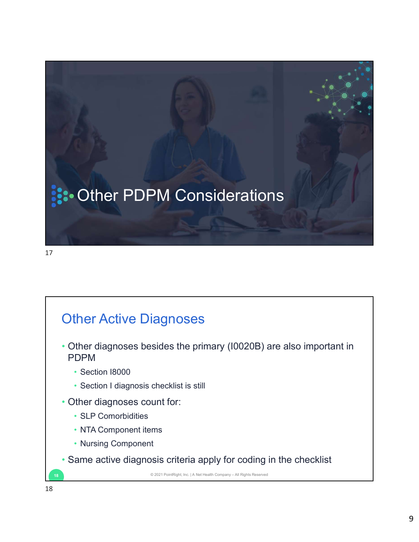

17

## Other Active Diagnoses

- Other diagnoses besides the primary (I0020B) are also important in PDPM <table>\n<tbody>\n<tr>\n<th>Other Active Diagnoses</th>\n</tr>\n<tr>\n<td>Other diagnoses besides the primary (10020B) are also important in PDPM</td>\n</tr>\n<tr>\n<td>• Section 18000</td>\n</tr>\n<tr>\n<td>• Section 1 diagnosis checklist is still</td>\n</tr>\n<tr>\n<td>• Other diagnoses count for:</td>\n</tr>\n<tr>\n<td>• SLP Comorbidities</td>\n</tr>\n<tr>\n<td>• NTA Component items</td>\n</tr>\n<tr>\n<td>• Nursing Component</td>\n</tr>\n<tr>\n<td>• Same active diagnosis criteria apply for coding in the checklist<br/>• 20213333333333333333333333
	- Section I8000
	- Section I diagnosis checklist is still<br>• Other diagnoses count for:
	- - SLP Comorbidities
		- NTA Component items
		- Nursing Component
	- Same active diagnosis criteria apply for coding in the checklist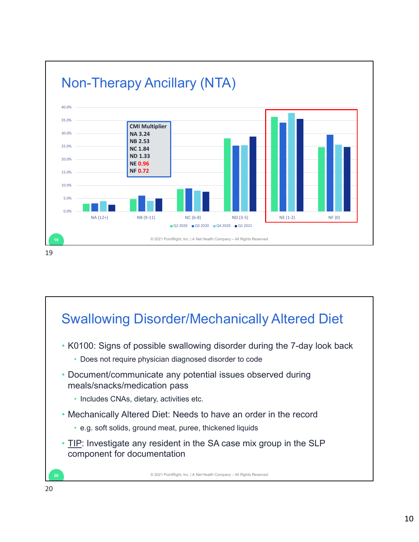

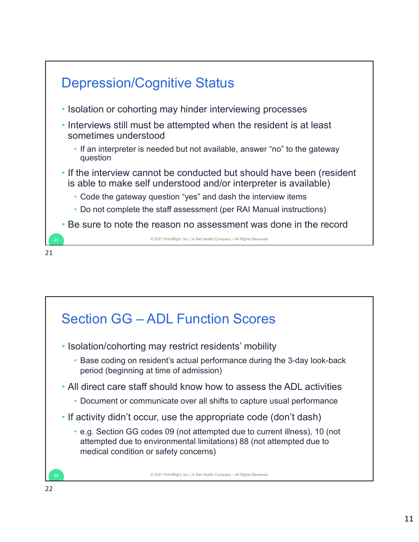

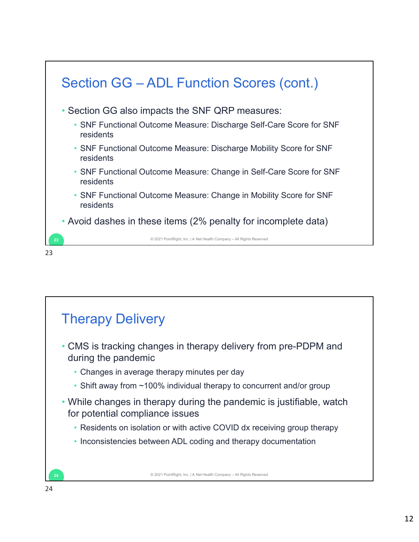

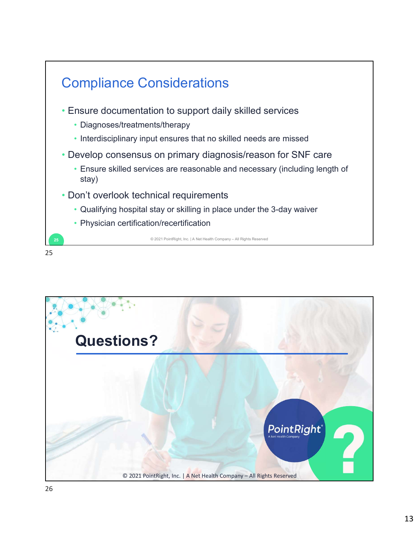